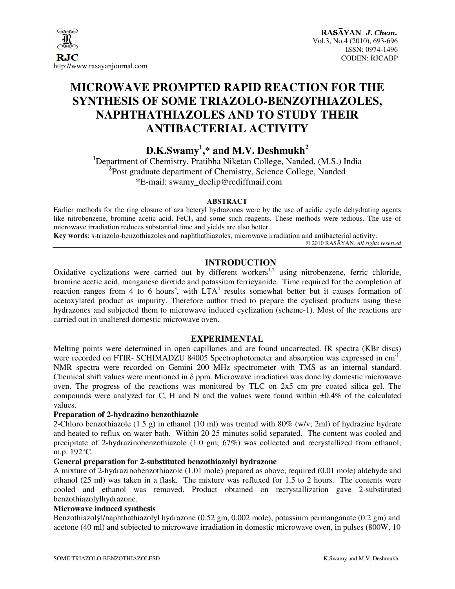

# **MICROWAVE PROMPTED RAPID REACTION FOR THE SYNTHESIS OF SOME TRIAZOLO-BENZOTHIAZOLES, NAPHTHATHIAZOLES AND TO STUDY THEIR ANTIBACTERIAL ACTIVITY**

**D.K.Swamy<sup>1</sup> ,\* and M.V. Deshmukh<sup>2</sup>**

**<sup>1</sup>**Department of Chemistry, Pratibha Niketan College, Nanded, (M.S.) India **2** Post graduate department of Chemistry, Science College, Nanded **\***E-mail: swamy\_deelip@rediffmail.com

#### **ABSTRACT**

Earlier methods for the ring closure of aza heteryl hydrazones were by the use of acidic cyclo dehydrating agents like nitrobenzene, bromine acetic acid,  $FeCl<sub>3</sub>$  and some such reagents. These methods were tedious. The use of microwave irradiation reduces substantial time and yields are also better.

**Key words**: s-triazolo-benzothiazoles and naphthathiazoles, microwave irradiation and antibacterial activity.

© 2010 RASĀYAN. *All rights reserved*

# **INTRODUCTION**

Oxidative cyclizations were carried out by different workers<sup>1,2</sup> using nitrobenzene, ferric chloride, bromine acetic acid, manganese dioxide and potassium ferricyanide. Time required for the completion of reaction ranges from 4 to 6 hours<sup>3</sup>, with  $LTA<sup>4</sup>$  results somewhat better but it causes formation of acetoxylated product as impurity. Therefore author tried to prepare the cyclised products using these hydrazones and subjected them to microwave induced cyclization (scheme-1). Most of the reactions are carried out in unaltered domestic microwave oven.

#### **EXPERIMENTAL**

Melting points were determined in open capillaries and are found uncorrected. IR spectra (KBr discs) were recorded on FTIR- SCHIMADZU 84005 Spectrophotometer and absorption was expressed in cm<sup>-1</sup>. NMR spectra were recorded on Gemini 200 MHz spectrometer with TMS as an internal standard. Chemical shift values were mentioned in δ ppm. Microwave irradiation was done by domestic microwave oven. The progress of the reactions was monitored by TLC on 2x5 cm pre coated silica gel. The compounds were analyzed for C, H and N and the values were found within  $\pm 0.4\%$  of the calculated values.

#### **Preparation of 2-hydrazino benzothiazole**

2-Chloro benzothiazole (1.5 g) in ethanol (10 ml) was treated with  $80\%$  (w/v; 2ml) of hydrazine hydrate and heated to reflux on water bath. Within 20-25 minutes solid separated. The content was cooled and precipitate of 2-hydrazinobenzothiazole (1.0 gm; 67%) was collected and recrystallized from ethanol; m.p. 192°C.

#### **General preparation for 2-substituted benzothiazolyl hydrazone**

A mixture of 2-hydrazinobenzothiazole (1.01 mole) prepared as above, required (0.01 mole) aldehyde and ethanol (25 ml) was taken in a flask. The mixture was refluxed for 1.5 to 2 hours. The contents were cooled and ethanol was removed. Product obtained on recrystallization gave 2-substituted benzothiazolylhydrazone.

#### **Microwave induced synthesis**

Benzothiazolyl/naphthathiazolyl hydrazone (0.52 gm, 0.002 mole), potassium permanganate (0.2 gm) and acetone (40 ml) and subjected to microwave irradiation in domestic microwave oven, in pulses (800W, 10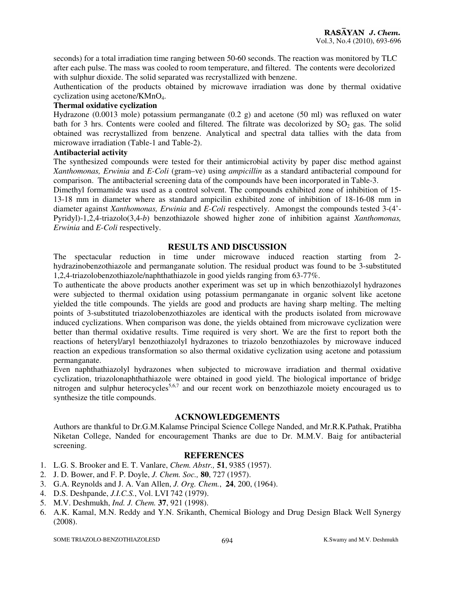seconds) for a total irradiation time ranging between 50-60 seconds. The reaction was monitored by TLC after each pulse. The mass was cooled to room temperature, and filtered. The contents were decolorized with sulphur dioxide. The solid separated was recrystallized with benzene.

Authentication of the products obtained by microwave irradiation was done by thermal oxidative cyclization using acetone/KMnO4.

#### **Thermal oxidative cyclization**

Hydrazone (0.0013 mole) potassium permanganate (0.2 g) and acetone (50 ml) was refluxed on water bath for 3 hrs. Contents were cooled and filtered. The filtrate was decolorized by SO<sub>2</sub> gas. The solid obtained was recrystallized from benzene. Analytical and spectral data tallies with the data from microwave irradiation (Table-1 and Table-2).

#### **Antibacterial activity**

The synthesized compounds were tested for their antimicrobial activity by paper disc method against *Xanthomonas, Erwinia* and *E-Coli* (gram–ve) using *ampicillin* as a standard antibacterial compound for comparison. The antibacterial screening data of the compounds have been incorporated in Table-3.

Dimethyl formamide was used as a control solvent. The compounds exhibited zone of inhibition of 15- 13-18 mm in diameter where as standard ampicilin exhibited zone of inhibition of 18-16-08 mm in diameter against *Xanthomonas, Erwinia* and *E-Coli* respectively. Amongst the compounds tested 3-(4'- Pyridyl)-1,2,4-triazolo(3,4-*b*) benzothiazole showed higher zone of inhibition against *Xanthomonas, Erwinia* and *E-Coli* respectively.

#### **RESULTS AND DISCUSSION**

The spectacular reduction in time under microwave induced reaction starting from 2 hydrazinobenzothiazole and permanganate solution. The residual product was found to be 3-substituted 1,2,4-triazolobenzothiazole/naphthathiazole in good yields ranging from 63-77%.

To authenticate the above products another experiment was set up in which benzothiazolyl hydrazones were subjected to thermal oxidation using potassium permanganate in organic solvent like acetone yielded the title compounds. The yields are good and products are having sharp melting. The melting points of 3-substituted triazolobenzothiazoles are identical with the products isolated from microwave induced cyclizations. When comparison was done, the yields obtained from microwave cyclization were better than thermal oxidative results. Time required is very short. We are the first to report both the reactions of heteryl/aryl benzothiazolyl hydrazones to triazolo benzothiazoles by microwave induced reaction an expedious transformation so also thermal oxidative cyclization using acetone and potassium permanganate.

Even naphthathiazolyl hydrazones when subjected to microwave irradiation and thermal oxidative cyclization, triazolonaphthathiazole were obtained in good yield. The biological importance of bridge nitrogen and sulphur heterocycles<sup>5,6,7</sup> and our recent work on benzothiazole moiety encouraged us to synthesize the title compounds.

#### **ACKNOWLEDGEMENTS**

Authors are thankful to Dr.G.M.Kalamse Principal Science College Nanded, and Mr.R.K.Pathak, Pratibha Niketan College, Nanded for encouragement Thanks are due to Dr. M.M.V. Baig for antibacterial screening.

# **REFERENCES**

- 1. L.G. S. Brooker and E. T. Vanlare, *Chem. Abstr.,* **51**, 9385 (1957).
- 2. J. D. Bower, and F. P. Doyle, *J. Chem. Soc.,* **80**, 727 (1957).
- 3. G.A. Reynolds and J. A. Van Allen, *J. Org. Chem.*, **24**, 200, (1964).
- 4. D.S. Deshpande, *J.I.C.S.*, Vol. LVI 742 (1979).
- 5. M.V. Deshmukh, *Ind. J. Chem.* **37**, 921 (1998).
- 6. A.K. Kamal, M.N. Reddy and Y.N. Srikanth, Chemical Biology and Drug Design Black Well Synergy (2008).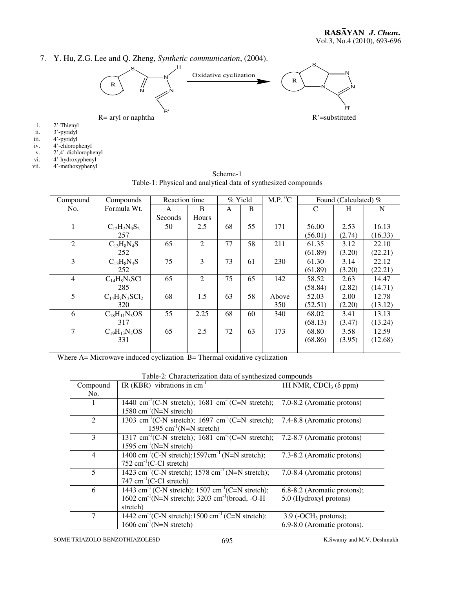7. Y. Hu, Z.G. Lee and Q. Zheng, *Synthetic communication*, (2004).



- 
- i. 2'-Thienyl ii. 3'-pyridyl
- iii. 4'-pyridyl
- iv. 4'-chlorophenyl
- v. 2',4'-dichlorophenyl
- vi. 4'-hydroxyphenyl
- vii. 4'-methoxyphenyl

| Compound       | Compounds           | Reaction time |              | M.P. O <sup>0</sup> C<br>% Yield |    |       | Found (Calculated) % |        |         |
|----------------|---------------------|---------------|--------------|----------------------------------|----|-------|----------------------|--------|---------|
| No.            | Formula Wt.         | A             | <sub>B</sub> | A                                | B  |       | C                    | H      | N       |
|                |                     | Seconds       | Hours        |                                  |    |       |                      |        |         |
| 1              | $C_{12}H_7N_3S_2$   | 50            | 2.5          | 68                               | 55 | 171   | 56.00                | 2.53   | 16.13   |
|                | 257                 |               |              |                                  |    |       | (56.01)              | (2.74) | (16.33) |
| $\overline{2}$ | $C_{13}H_8N_4S$     | 65            | 2            | 77                               | 58 | 211   | 61.35                | 3.12   | 22.10   |
|                | 252                 |               |              |                                  |    |       | (61.89)              | (3.20) | (22.21) |
| 3              | $C_{13}H_8N_4S$     | 75            | 3            | 73                               | 61 | 230   | 61.30                | 3.14   | 22.12   |
|                | 252                 |               |              |                                  |    |       | (61.89)              | (3.20) | (22.21) |
| $\overline{4}$ | $C_{14}H_8N_3SC1$   | 65            | 2            | 75                               | 65 | 142   | 58.52                | 2.63   | 14.47   |
|                | 285                 |               |              |                                  |    |       | (58.84)              | (2.82) | (14.71) |
| 5              | $C_{14}H_7N_3SCl_2$ | 68            | 1.5          | 63                               | 58 | Above | 52.03                | 2.00   | 12.78   |
|                | 320                 |               |              |                                  |    | 350   | (52.51)              | (2.20) | (13.12) |
| 6              | $C_{18}H_{11}N_3OS$ | 55            | 2.25         | 68                               | 60 | 340   | 68.02                | 3.41   | 13.13   |
|                | 317                 |               |              |                                  |    |       | (68.13)              | (3.47) | (13.24) |
| 7              | $C_{19}H_{13}N_3OS$ | 65            | 2.5          | 72                               | 63 | 173   | 68.80                | 3.58   | 12.59   |
|                | 331                 |               |              |                                  |    |       | (68.86)              | (3.95) | (12.68) |
|                |                     |               |              |                                  |    |       |                      |        |         |

| Scheme-1                                                       |  |  |  |  |  |
|----------------------------------------------------------------|--|--|--|--|--|
| Table-1: Physical and analytical data of synthesized compounds |  |  |  |  |  |

Where A= Microwave induced cyclization B= Thermal oxidative cyclization

| Compound<br>No. | IR (KBR) vibrations in $cm^{-1}$                                                                                                                                   | 1H NMR, CDCl <sub>3</sub> ( $\delta$ ppm)                         |
|-----------------|--------------------------------------------------------------------------------------------------------------------------------------------------------------------|-------------------------------------------------------------------|
|                 | 1440 cm <sup>-1</sup> (C-N stretch); 1681 cm <sup>-1</sup> (C=N stretch);<br>$1580 \text{ cm}^{-1}$ (N=N stretch)                                                  | 7.0-8.2 (Aromatic protons)                                        |
| $\mathcal{L}$   | 1303 cm <sup>-1</sup> (C-N stretch); 1697 cm <sup>-1</sup> (C=N stretch);<br>1595 cm <sup>-1</sup> (N=N stretch)                                                   | 7.4-8.8 (Aromatic protons)                                        |
| 3               | 1317 cm <sup>-1</sup> (C-N stretch); 1681 cm <sup>-1</sup> (C=N stretch);<br>1595 cm <sup>-1</sup> (N=N stretch)                                                   | 7.2-8.7 (Aromatic protons)                                        |
| 4               | 1400 cm <sup>-1</sup> (C-N stretch);1597cm <sup>-1</sup> (N=N stretch);<br>$752 \text{ cm}^{-1}$ (C-Cl stretch)                                                    | 7.3-8.2 (Aromatic protons)                                        |
| 5               | 1423 cm <sup>-1</sup> (C-N stretch); 1578 cm <sup>-1</sup> (N=N stretch);<br>747 $cm^{-1}$ (C-Cl stretch)                                                          | 7.0-8.4 (Aromatic protons)                                        |
| 6               | 1443 cm <sup>-1</sup> (C-N stretch); 1507 cm <sup>-1</sup> (C=N stretch);<br>$1602 \text{ cm}^{-1}$ (N=N stretch); 3203 cm <sup>-1</sup> (broad, -O-H)<br>stretch) | 6.8-8.2 (Aromatic protons);<br>5.0 (Hydroxyl protons)             |
|                 | 1442 cm <sup>-1</sup> (C-N stretch);1500 cm <sup>-1</sup> (C=N stretch);<br>$1606$ cm <sup>-1</sup> (N=N stretch)                                                  | $3.9$ (-OCH <sub>3</sub> protons);<br>6.9-8.0 (Aromatic protons). |